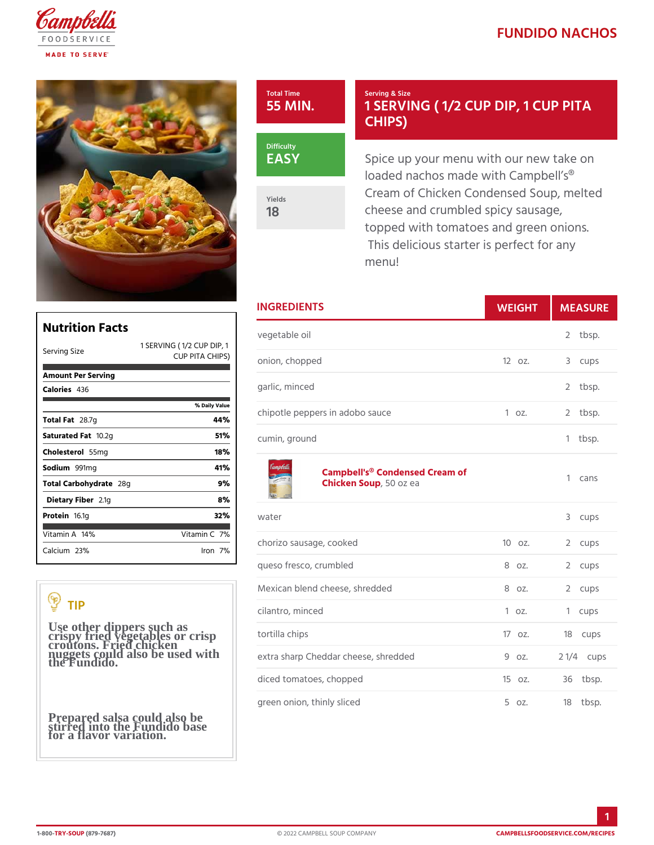## FUNDIDO NACH

Total Time 55 MIN.

EASY

Yields 18

Serving & Size 1 SERVING (1/2 CUP DI CHIPS)

Spice up your menu with our ne loaded nachos made with Campl Cream of Chicken Condensed So cheese and crumbled spicy saus topped with tomatoes and green This delicious starter is perfed menu!

| <b>INGREDIENTS</b>                                             | WEIGH    | MEASU                          |
|----------------------------------------------------------------|----------|--------------------------------|
| vegetable oil<br>CUP DIP,                                      |          | tbsp.<br>2                     |
| ¢нıps <sub>ion, chopped</sub>                                  | $120z$ . | 3<br>cups                      |
| garlic, minced                                                 |          | $\overline{2}$<br>tbsp.        |
| llue<br>chipotle peppers in adobo sauce                        | 1 oz.    | $\mathbf{2}^{\prime}$<br>tbsp. |
| cumin, ground                                                  |          | tbsp.<br>1                     |
| Campbell's <sup>®</sup> Condensed Cream of<br>Chicken Soopozea |          | 1<br>cans                      |
| water                                                          |          | 3<br>cups                      |
| chorizo sausage, cooked                                        | $100Z$ . | 2<br>cups                      |
| queso fresco, crumbled                                         | 8 oz.    | 2<br>cups                      |
| Mexican blend cheese, shredded                                 | 8 oz.    | $\overline{2}$<br>cups         |
| cilantro, minced                                               | 1 oz.    | 1<br>cups                      |
| tortilla chips                                                 | 170z.    | 18 cups                        |
| extra sharp Cheddar cheese, shredd@doz.                        |          | 2 $1/4c$ ups                   |
| diced tomatoes, chopped                                        | 15oz.    | 36 tbsp.                       |
| green onion, thinly sliced                                     | 5 oz.    | $18$ tbsp.                     |

| Nutrition Facts                                                            | veget  |
|----------------------------------------------------------------------------|--------|
| 1 SERVING (1/12 CUP DIP,<br>Serving Size<br>CUP PITA CHIPS <sub>Nion</sub> |        |
| Amount Per Serving                                                         |        |
| Calorie4s36                                                                | garlic |
| % Daily Vallue                                                             |        |
| Total F28.7g<br>44%                                                        | chipo  |
| 51%<br>Saturated 1F0a12g                                                   | cumin  |
| 18%<br>Choleste 565 lm g                                                   |        |
| 41%<br>Sodium991mq                                                         |        |
| 9%<br>Total Carbohy2d8gte                                                  |        |
| 8%<br>Dietary F2ib1egr                                                     |        |
| 32%<br>Proteifi6.1g                                                        | water  |
| Vitamin7 <b>%</b><br>Vitamin1A4%                                           |        |
| $C$ alcium <sup>3</sup> %<br>lron 7 %                                      | choriz |
|                                                                            |        |

## TIP

Use other dippers such as crispy fried vegetables or crisp croutons. Fried chicken nuggets could also be used with the Fundido.

Prepared salsa could also be stirred into the Fundido base for a flavor variation.